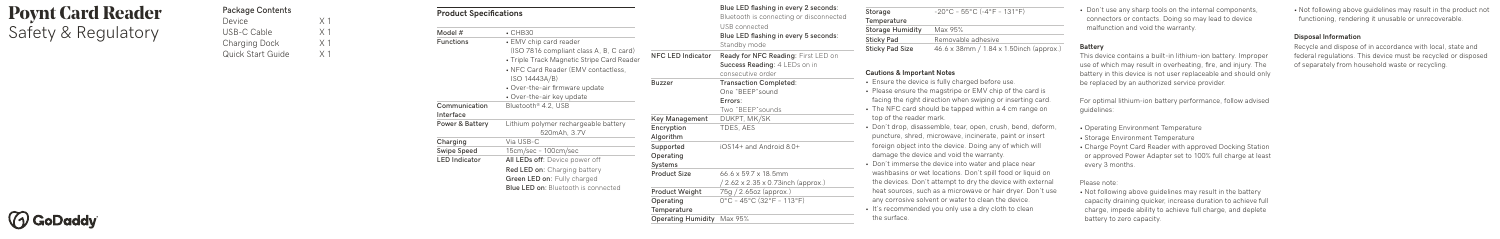# **Poynt Card Reader** Safety & Regulatory

| <b>Package Contents</b>  |                |
|--------------------------|----------------|
| Device                   | X <sub>1</sub> |
| USB-C Cable              | X <sub>1</sub> |
| Charging Dock            | X <sub>1</sub> |
| <b>Quick Start Guide</b> | $\times$ 1     |

## **Product Specifications**

| Storage                 | $-20^{\circ}$ C – 55°C (-4°F – 131°F)   |
|-------------------------|-----------------------------------------|
| Temperature             |                                         |
| <b>Storage Humidity</b> | Max 95%                                 |
| Sticky Pad              | Removable adhesive                      |
| <b>Sticky Pad Size</b>  | 46.6 x 38mm / 1.84 x 1.50inch (approx.) |

#### **Cautions & Important Notes**

- Ensure the device is fully charged before use.
- Please ensure the magstripe or EMV chip of the card is facing the right direction when swiping or inserting card.
- The NFC card should be tapped within a 4 cm range on top of the reader mark.
- Don't drop, disassemble, tear, open, crush, bend, deform, puncture, shred, microwave, incinerate, paint or insert foreign object into the device. Doing any of which will damage the device and void the warranty.
- Don't immerse the device into water and place near washbasins or wet locations. Don't spill food or liquid on the devices. Don't attempt to dry the device with external heat sources, such as a microwave or hair dryer. Don't use any corrosive solvent or water to clean the device.
- It's recommended you only use a dry cloth to clean the surface.

| Model #                    | $\cdot$ CHB30                                                                                                                                                                                                                          |
|----------------------------|----------------------------------------------------------------------------------------------------------------------------------------------------------------------------------------------------------------------------------------|
| Functions                  | • EMV chip card reader<br>(ISO 7816 compliant class A, B, C card)<br>• Triple Track Magnetic Stripe Card Reader<br>• NFC Card Reader (EMV contactless,<br>ISO 14443A/B)<br>• Over-the-air firmware update<br>• Over-the-air key update |
| Communication<br>Interface | Bluetooth <sup>®</sup> 4.2, USB                                                                                                                                                                                                        |
| <b>Power &amp; Battery</b> | Lithium polymer rechargeable battery<br>520mAh, 3.7V                                                                                                                                                                                   |
| Charging                   | Via USB-C                                                                                                                                                                                                                              |
| Swipe Speed                | 15cm/sec - 100cm/sec                                                                                                                                                                                                                   |
| <b>LED Indicator</b>       | All LEDs off: Device power off<br><b>Red LED on:</b> Charging battery<br>Green LED on: Fully charged<br><b>Blue LED on:</b> Bluetooth is connected                                                                                     |
|                            |                                                                                                                                                                                                                                        |

**NFC LED Indicator Ready for NFC Reading:** First LED on **Success Reading:** 4 LEDs on in consecutive order **Buzzer Transaction Completed:**  One "BEEP"sound **Errors:** Two "BEEP"sounds **Key Management** DUKPT, MK/SK **Encryption** TDES, AES **Algorithm Supported** iOS14+ and Android 8.0+ **Operating Systems Product Size** 66.6 x 59.7 x 18.5mm / 2.62 x 2.35 x 0.73inch (approx.) **Product Weight** 75g / 2.65oz (approx.) **Operating** 0°C – 45°C (32°F – 113°F) **Temperature Operating Humidity** Max 95% **Blue LED flashing in every 2 seconds: Blue LED flashing in every 5 seconds:** Bluetooth is connecting or disconnected USB connected Standby mode



• Don't use any sharp tools on the internal components, connectors or contacts. Doing so may lead to device malfunction and void the warranty.

### **Battery**

This device contains a built-in lithium-ion battery. Improper use of which may result in overheating, fire, and injury. The battery in this device is not user replaceable and should only be replaced by an authorized service provider.

For optimal lithium-ion battery performance, follow advised guidelines:

- Operating Environment Temperature
- Storage Environment Temperature
- Charge Poynt Card Reader with approved Docking Station or approved Power Adapter set to 100% full charge at least every 3 months.

#### Please note:

• Not following above guidelines may result in the battery capacity draining quicker, increase duration to achieve full charge, impede ability to achieve full charge, and deplete battery to zero capacity.

• Not following above guidelines may result in the product not functioning, rendering it unusable or unrecoverable.

#### **Disposal Information**

Recycle and dispose of in accordance with local, state and federal regulations. This device must be recycled or disposed of separately from household waste or recycling.